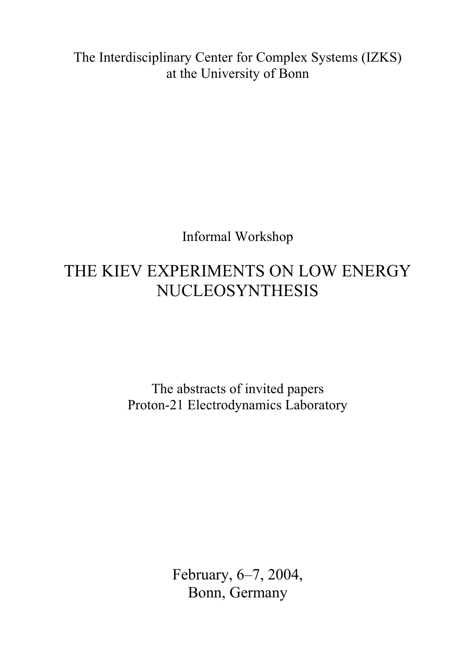The Interdisciplinary Center for Complex Systems (IZKS) at the University of Bonn

Informal Workshop

# THE KIEV EXPERIMENTS ON LOW ENERGY NUCLEOSYNTHESIS

The abstracts of invited papers Proton-21 Electrodynamics Laboratory

> February, 6–7, 2004, Bonn, Germany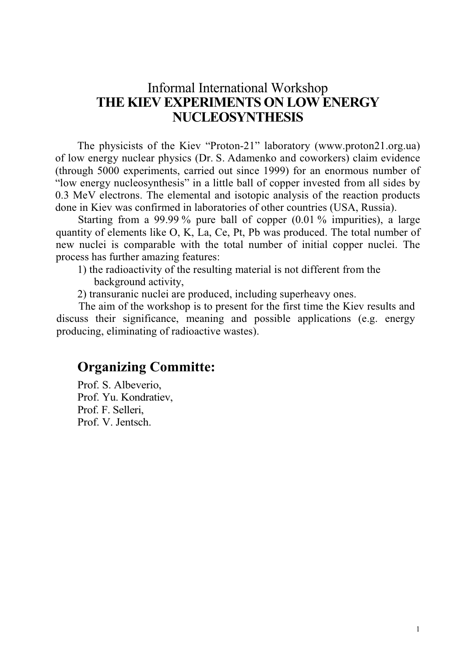### Informal International Workshop THE KIEV EXPERIMENTS ON LOW ENERGY NUCLEOSYNTHESIS

The physicists of the Kiev "Proton-21" laboratory (www.proton21.org.ua) of low energy nuclear physics (Dr. S. Adamenko and coworkers) claim evidence (through 5000 experiments, carried out since 1999) for an enormous number of "low energy nucleosynthesis" in a little ball of copper invested from all sides by 0.3 MeV electrons. The elemental and isotopic analysis of the reaction products done in Kiev was confirmed in laboratories of other countries (USA, Russia).

Starting from a 99.99 % pure ball of copper (0.01 % impurities), a large quantity of elements like O, K, La, Ce, Pt, Pb was produced. The total number of new nuclei is comparable with the total number of initial copper nuclei. The process has further amazing features:

1) the radioactivity of the resulting material is not different from the background activity,

2) transuranic nuclei are produced, including superheavy ones.

The aim of the workshop is to present for the first time the Kiev results and discuss their significance, meaning and possible applications (e.g. energy producing, eliminating of radioactive wastes).

### Organizing Committe:

Prof. S. Albeverio, Prof. Yu. Kondratiev, Prof. F. Selleri, Prof. V. Jentsch.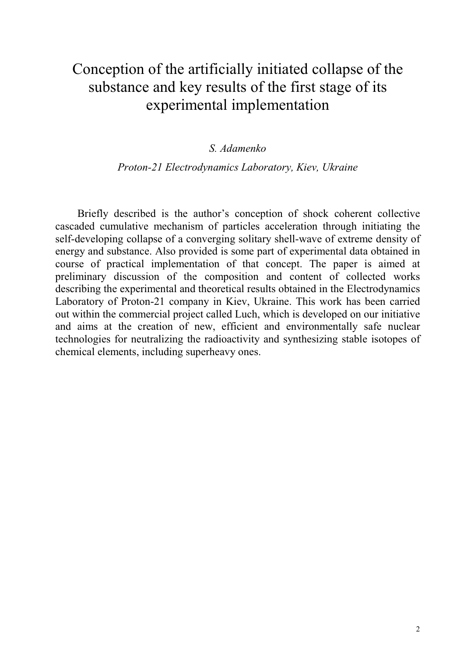## Conception of the artificially initiated collapse of the substance and key results of the first stage of its experimental implementation

#### S. Adamenko

#### Proton-21 Electrodynamics Laboratory, Kiev, Ukraine

Briefly described is the author's conception of shock coherent collective cascaded cumulative mechanism of particles acceleration through initiating the self-developing collapse of a converging solitary shell-wave of extreme density of energy and substance. Also provided is some part of experimental data obtained in course of practical implementation of that concept. The paper is aimed at preliminary discussion of the composition and content of collected works describing the experimental and theoretical results obtained in the Electrodynamics Laboratory of Proton-21 company in Kiev, Ukraine. This work has been carried out within the commercial project called Luch, which is developed on our initiative and aims at the creation of new, efficient and environmentally safe nuclear technologies for neutralizing the radioactivity and synthesizing stable isotopes of chemical elements, including superheavy ones.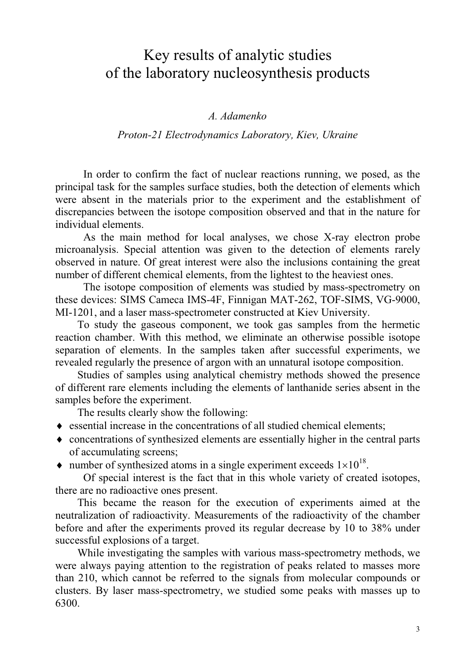### Key results of analytic studies of the laboratory nucleosynthesis products

#### A. Adamenko

#### Proton-21 Electrodynamics Laboratory, Kiev, Ukraine

In order to confirm the fact of nuclear reactions running, we posed, as the principal task for the samples surface studies, both the detection of elements which were absent in the materials prior to the experiment and the establishment of discrepancies between the isotope composition observed and that in the nature for individual elements.

As the main method for local analyses, we chose X-ray electron probe microanalysis. Special attention was given to the detection of elements rarely observed in nature. Of great interest were also the inclusions containing the great number of different chemical elements, from the lightest to the heaviest ones.

The isotope composition of elements was studied by mass-spectrometry on these devices: SIMS Cameca IMS-4F, Finnigan MAT-262, TOF-SIMS, VG-9000, MI-1201, and a laser mass-spectrometer constructed at Kiev University.

To study the gaseous component, we took gas samples from the hermetic reaction chamber. With this method, we eliminate an otherwise possible isotope separation of elements. In the samples taken after successful experiments, we revealed regularly the presence of argon with an unnatural isotope composition.

Studies of samples using analytical chemistry methods showed the presence of different rare elements including the elements of lanthanide series absent in the samples before the experiment.

The results clearly show the following:

- ♦ essential increase in the concentrations of all studied chemical elements;
- ♦ concentrations of synthesized elements are essentially higher in the central parts of accumulating screens;
- number of synthesized atoms in a single experiment exceeds  $1 \times 10^{18}$ .

Of special interest is the fact that in this whole variety of created isotopes, there are no radioactive ones present.

This became the reason for the execution of experiments aimed at the neutralization of radioactivity. Measurements of the radioactivity of the chamber before and after the experiments proved its regular decrease by 10 to 38% under successful explosions of a target.

While investigating the samples with various mass-spectrometry methods, we were always paying attention to the registration of peaks related to masses more than 210, which cannot be referred to the signals from molecular compounds or clusters. By laser mass-spectrometry, we studied some peaks with masses up to 6300.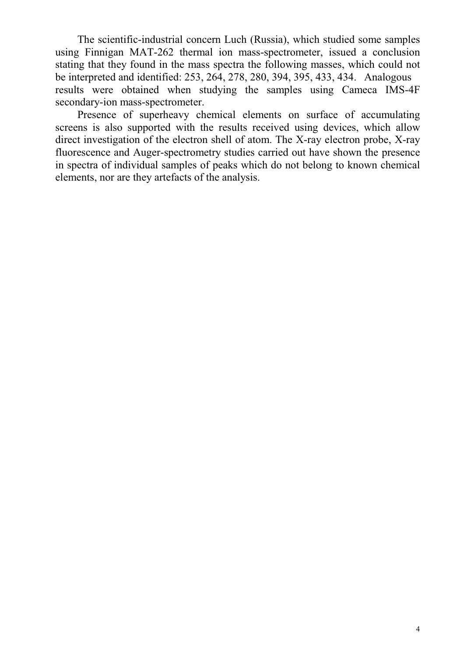The scientific-industrial concern Luch (Russia), which studied some samples using Finnigan MAT-262 thermal ion mass-spectrometer, issued a conclusion stating that they found in the mass spectra the following masses, which could not be interpreted and identified: 253, 264, 278, 280, 394, 395, 433, 434. Analogous results were obtained when studying the samples using Cameca IMS-4F secondary-ion mass-spectrometer.

Presence of superheavy chemical elements on surface of accumulating screens is also supported with the results received using devices, which allow direct investigation of the electron shell of atom. The X-ray electron probe, X-ray fluorescence and Auger-spectrometry studies carried out have shown the presence in spectra of individual samples of peaks which do not belong to known chemical elements, nor are they artefacts of the analysis.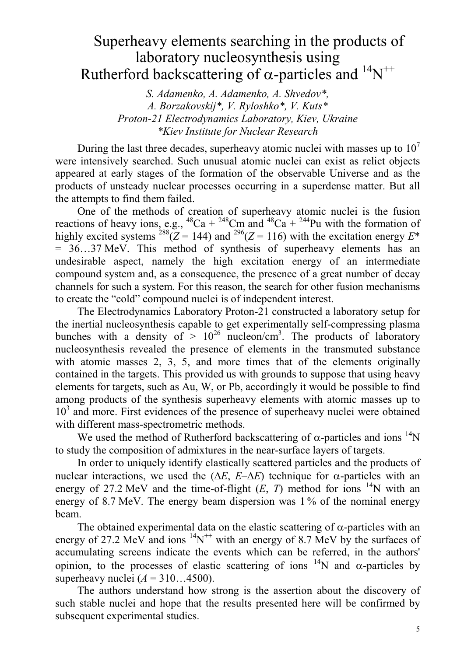### Superheavy elements searching in the products of laboratory nucleosynthesis using Rutherford backscattering of  $\alpha$ -particles and  ${}^{14}N^{++}$

S. Adamenko, A. Adamenko, A. Shvedov\*, A. Borzakovskij\*, V. Ryloshko\*, V. Kuts\* Proton-21 Electrodynamics Laboratory, Kiev, Ukraine \*Kiev Institute for Nuclear Research

During the last three decades, superheavy atomic nuclei with masses up to  $10<sup>7</sup>$ were intensively searched. Such unusual atomic nuclei can exist as relict objects appeared at early stages of the formation of the observable Universe and as the products of unsteady nuclear processes occurring in a superdense matter. But all the attempts to find them failed.

One of the methods of creation of superheavy atomic nuclei is the fusion reactions of heavy ions, e.g.,  ${}^{48}Ca + {}^{248}Cm$  and  ${}^{48}Ca + {}^{244}Pu$  with the formation of highly excited systems <sup>288</sup>( $\overline{Z}$  = 144) and <sup>296</sup>( $\overline{Z}$  = 116) with the excitation energy  $E^*$ = 36…37 MeV. This method of synthesis of superheavy elements has an undesirable aspect, namely the high excitation energy of an intermediate compound system and, as a consequence, the presence of a great number of decay channels for such a system. For this reason, the search for other fusion mechanisms to create the "cold" compound nuclei is of independent interest.

The Electrodynamics Laboratory Proton-21 constructed a laboratory setup for the inertial nucleosynthesis capable to get experimentally self-compressing plasma bunches with a density of  $> 10^{26}$  nucleon/cm<sup>3</sup>. The products of laboratory nucleosynthesis revealed the presence of elements in the transmuted substance with atomic masses 2, 3, 5, and more times that of the elements originally contained in the targets. This provided us with grounds to suppose that using heavy elements for targets, such as Au, W, or Pb, accordingly it would be possible to find among products of the synthesis superheavy elements with atomic masses up to 10<sup>3</sup> and more. First evidences of the presence of superheavy nuclei were obtained with different mass-spectrometric methods.

We used the method of Rutherford backscattering of  $\alpha$ -particles and ions <sup>14</sup>N to study the composition of admixtures in the near-surface layers of targets.

In order to uniquely identify elastically scattered particles and the products of nuclear interactions, we used the ( $\Delta E$ ,  $E-\Delta E$ ) technique for α-particles with an energy of 27.2 MeV and the time-of-flight  $(E, T)$  method for ions <sup>14</sup>N with an energy of 8.7 MeV. The energy beam dispersion was 1% of the nominal energy beam.

The obtained experimental data on the elastic scattering of  $\alpha$ -particles with an energy of 27.2 MeV and ions  ${}^{14}N^{++}$  with an energy of 8.7 MeV by the surfaces of accumulating screens indicate the events which can be referred, in the authors' opinion, to the processes of elastic scattering of ions <sup>14</sup>N and α-particles by superheavy nuclei  $(A = 310...4500)$ .

The authors understand how strong is the assertion about the discovery of such stable nuclei and hope that the results presented here will be confirmed by subsequent experimental studies.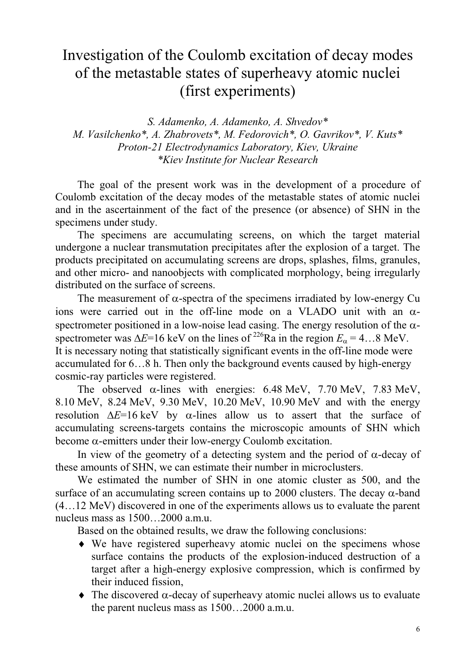### Investigation of the Coulomb excitation of decay modes of the metastable states of superheavy atomic nuclei (first experiments)

S. Adamenko, A. Adamenko, A. Shvedov\* M. Vasilchenko\*, A. Zhabrovets\*, M. Fedorovich\*, O. Gavrikov\*, V. Kuts\* Proton-21 Electrodynamics Laboratory, Kiev, Ukraine \*Kiev Institute for Nuclear Research

The goal of the present work was in the development of a procedure of Coulomb excitation of the decay modes of the metastable states of atomic nuclei and in the ascertainment of the fact of the presence (or absence) of SHN in the specimens under study.

The specimens are accumulating screens, on which the target material undergone a nuclear transmutation precipitates after the explosion of a target. The products precipitated on accumulating screens are drops, splashes, films, granules, and other micro- and nanoobjects with complicated morphology, being irregularly distributed on the surface of screens.

The measurement of  $\alpha$ -spectra of the specimens irradiated by low-energy Cu ions were carried out in the off-line mode on a VLADO unit with an αspectrometer positioned in a low-noise lead casing. The energy resolution of the  $\alpha$ spectrometer was  $\Delta E=16$  keV on the lines of <sup>226</sup>Ra in the region  $E_a = 4...8$  MeV. It is necessary noting that statistically significant events in the off-line mode were accumulated for 6…8 h. Then only the background events caused by high-energy cosmic-ray particles were registered.

The observed  $\alpha$ -lines with energies: 6.48 MeV, 7.70 MeV, 7.83 MeV, 8.10 MeV, 8.24 MeV, 9.30 MeV, 10.20 MeV, 10.90 MeV and with the energy resolution  $\Delta E=16 \text{ keV}$  by  $\alpha$ -lines allow us to assert that the surface of accumulating screens-targets contains the microscopic amounts of SHN which become  $\alpha$ -emitters under their low-energy Coulomb excitation.

In view of the geometry of a detecting system and the period of  $\alpha$ -decay of these amounts of SHN, we can estimate their number in microclusters.

We estimated the number of SHN in one atomic cluster as 500, and the surface of an accumulating screen contains up to 2000 clusters. The decay  $\alpha$ -band (4…12 MeV) discovered in one of the experiments allows us to evaluate the parent nucleus mass as 1500…2000 a.m.u.

Based on the obtained results, we draw the following conclusions:

- ♦ We have registered superheavy atomic nuclei on the specimens whose surface contains the products of the explosion-induced destruction of a target after a high-energy explosive compression, which is confirmed by their induced fission,
- $\triangle$  The discovered  $\alpha$ -decay of superheavy atomic nuclei allows us to evaluate the parent nucleus mass as 1500…2000 a.m.u.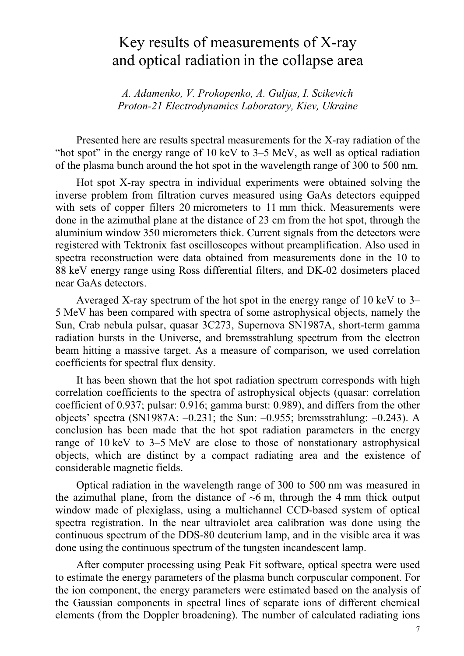### Key results of measurements of X-ray and optical radiation in the collapse area

A. Adamenko, V. Prokopenko, A. Guljas, I. Scikevich Proton-21 Electrodynamics Laboratory, Kiev, Ukraine

Presented here are results spectral measurements for the X-ray radiation of the "hot spot" in the energy range of 10 keV to 3–5 MeV, as well as optical radiation of the plasma bunch around the hot spot in the wavelength range of 300 to 500 nm.

Hot spot X-ray spectra in individual experiments were obtained solving the inverse problem from filtration curves measured using GaAs detectors equipped with sets of copper filters 20 micrometers to 11 mm thick. Measurements were done in the azimuthal plane at the distance of 23 cm from the hot spot, through the aluminium window 350 micrometers thick. Current signals from the detectors were registered with Tektronix fast oscilloscopes without preamplification. Also used in spectra reconstruction were data obtained from measurements done in the 10 to 88 keV energy range using Ross differential filters, and DK-02 dosimeters placed near GaAs detectors.

Averaged X-ray spectrum of the hot spot in the energy range of 10 keV to 3– 5 MeV has been compared with spectra of some astrophysical objects, namely the Sun, Crab nebula pulsar, quasar 3C273, Supernova SN1987A, short-term gamma radiation bursts in the Universe, and bremsstrahlung spectrum from the electron beam hitting a massive target. As a measure of comparison, we used correlation coefficients for spectral flux density.

It has been shown that the hot spot radiation spectrum corresponds with high correlation coefficients to the spectra of astrophysical objects (quasar: correlation coefficient of 0.937; pulsar: 0.916; gamma burst: 0.989), and differs from the other objects' spectra (SN1987A:  $-0.231$ ; the Sun:  $-0.955$ ; bremsstrahlung:  $-0.243$ ). A conclusion has been made that the hot spot radiation parameters in the energy range of 10 keV to 3–5 MeV are close to those of nonstationary astrophysical objects, which are distinct by a compact radiating area and the existence of considerable magnetic fields.

Optical radiation in the wavelength range of 300 to 500 nm was measured in the azimuthal plane, from the distance of  $\sim$ 6 m, through the 4 mm thick output window made of plexiglass, using a multichannel CCD-based system of optical spectra registration. In the near ultraviolet area calibration was done using the continuous spectrum of the DDS-80 deuterium lamp, and in the visible area it was done using the continuous spectrum of the tungsten incandescent lamp.

After computer processing using Peak Fit software, optical spectra were used to estimate the energy parameters of the plasma bunch corpuscular component. For the ion component, the energy parameters were estimated based on the analysis of the Gaussian components in spectral lines of separate ions of different chemical elements (from the Doppler broadening). The number of calculated radiating ions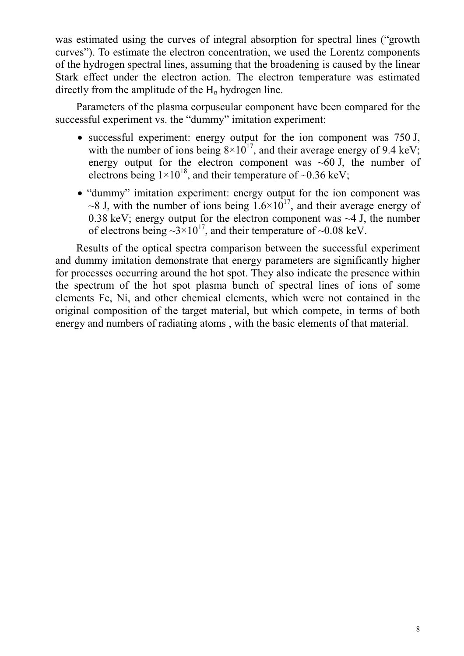was estimated using the curves of integral absorption for spectral lines ("growth curves"). To estimate the electron concentration, we used the Lorentz components of the hydrogen spectral lines, assuming that the broadening is caused by the linear Stark effect under the electron action. The electron temperature was estimated directly from the amplitude of the  $H_{\alpha}$  hydrogen line.

Parameters of the plasma corpuscular component have been compared for the successful experiment vs. the "dummy" imitation experiment:

- successful experiment: energy output for the ion component was 750 J, with the number of ions being  $8 \times 10^{17}$ , and their average energy of 9.4 keV; energy output for the electron component was  $~1$ , the number of electrons being  $1\times10^{18}$ , and their temperature of ~0.36 keV;
- "dummy" imitation experiment: energy output for the ion component was  $\sim$ 8 J, with the number of ions being  $1.6\times10^{17}$ , and their average energy of 0.38 keV; energy output for the electron component was  $\sim$ 4 J, the number of electrons being  $\sim 3 \times 10^{17}$ , and their temperature of  $\sim 0.08$  keV.

Results of the optical spectra comparison between the successful experiment and dummy imitation demonstrate that energy parameters are significantly higher for processes occurring around the hot spot. They also indicate the presence within the spectrum of the hot spot plasma bunch of spectral lines of ions of some elements Fe, Ni, and other chemical elements, which were not contained in the original composition of the target material, but which compete, in terms of both energy and numbers of radiating atoms , with the basic elements of that material.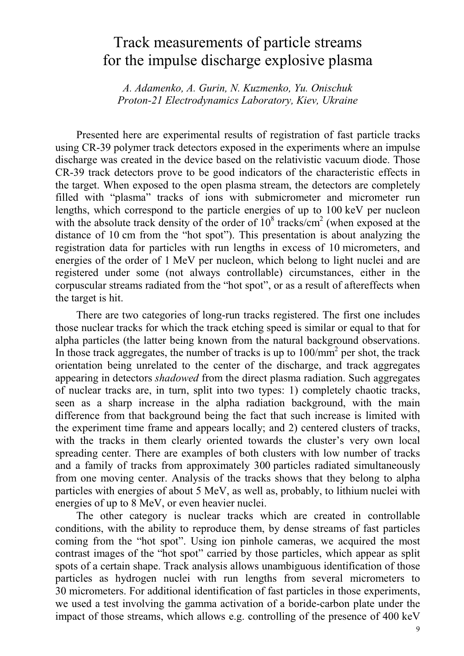### Track measurements of particle streams for the impulse discharge explosive plasma

A. Adamenko, A. Gurin, N. Kuzmenko, Yu. Onischuk Proton-21 Electrodynamics Laboratory, Kiev, Ukraine

Presented here are experimental results of registration of fast particle tracks using CR-39 polymer track detectors exposed in the experiments where an impulse discharge was created in the device based on the relativistic vacuum diode. Those CR-39 track detectors prove to be good indicators of the characteristic effects in the target. When exposed to the open plasma stream, the detectors are completely filled with "plasma" tracks of ions with submicrometer and micrometer run lengths, which correspond to the particle energies of up to 100 keV per nucleon with the absolute track density of the order of  $10^8$  tracks/cm<sup>2</sup> (when exposed at the distance of 10 cm from the "hot spot"). This presentation is about analyzing the registration data for particles with run lengths in excess of 10 micrometers, and energies of the order of 1 MeV per nucleon, which belong to light nuclei and are registered under some (not always controllable) circumstances, either in the corpuscular streams radiated from the "hot spot", or as a result of aftereffects when the target is hit.

There are two categories of long-run tracks registered. The first one includes those nuclear tracks for which the track etching speed is similar or equal to that for alpha particles (the latter being known from the natural background observations. In those track aggregates, the number of tracks is up to  $100/\text{mm}^2$  per shot, the track orientation being unrelated to the center of the discharge, and track aggregates appearing in detectors shadowed from the direct plasma radiation. Such aggregates of nuclear tracks are, in turn, split into two types: 1) completely chaotic tracks, seen as a sharp increase in the alpha radiation background, with the main difference from that background being the fact that such increase is limited with the experiment time frame and appears locally; and 2) centered clusters of tracks, with the tracks in them clearly oriented towards the cluster's very own local spreading center. There are examples of both clusters with low number of tracks and a family of tracks from approximately 300 particles radiated simultaneously from one moving center. Analysis of the tracks shows that they belong to alpha particles with energies of about 5 MeV, as well as, probably, to lithium nuclei with energies of up to 8 MeV, or even heavier nuclei.

The other category is nuclear tracks which are created in controllable conditions, with the ability to reproduce them, by dense streams of fast particles coming from the "hot spot". Using ion pinhole cameras, we acquired the most contrast images of the "hot spot" carried by those particles, which appear as split spots of a certain shape. Track analysis allows unambiguous identification of those particles as hydrogen nuclei with run lengths from several micrometers to 30 micrometers. For additional identification of fast particles in those experiments, we used a test involving the gamma activation of a boride-carbon plate under the impact of those streams, which allows e.g. controlling of the presence of 400 keV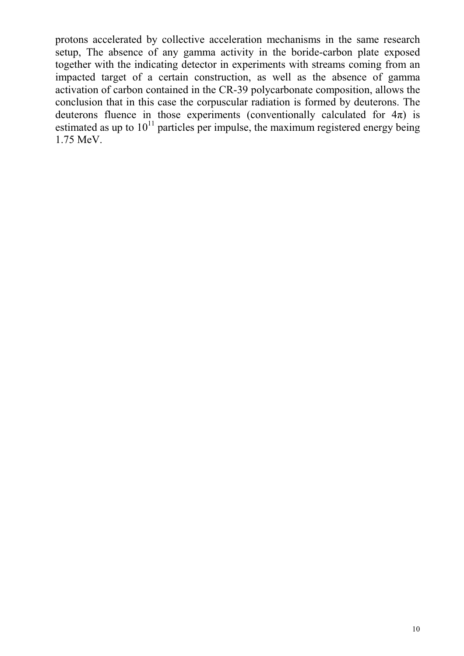protons accelerated by collective acceleration mechanisms in the same research setup, The absence of any gamma activity in the boride-carbon plate exposed together with the indicating detector in experiments with streams coming from an impacted target of a certain construction, as well as the absence of gamma activation of carbon contained in the CR-39 polycarbonate composition, allows the conclusion that in this case the corpuscular radiation is formed by deuterons. The deuterons fluence in those experiments (conventionally calculated for  $4\pi$ ) is estimated as up to  $10^{11}$  particles per impulse, the maximum registered energy being 1.75 MeV.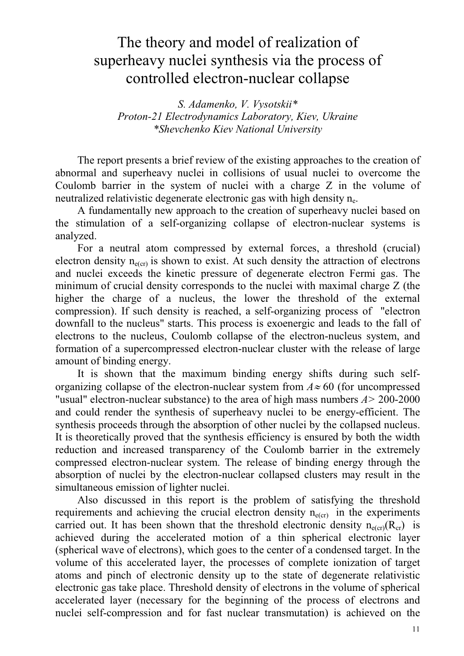## The theory and model of realization of superheavy nuclei synthesis via the process of controlled electron-nuclear collapse

S. Adamenko, V. Vysotskii\* Proton-21 Electrodynamics Laboratory, Kiev, Ukraine \*Shevchenko Kiev National University

The report presents a brief review of the existing approaches to the creation of abnormal and superheavy nuclei in collisions of usual nuclei to overcome the Coulomb barrier in the system of nuclei with a charge Z in the volume of neutralized relativistic degenerate electronic gas with high density  $n_e$ .

A fundamentally new approach to the creation of superheavy nuclei based on the stimulation of a self-organizing collapse of electron-nuclear systems is analyzed.

For a neutral atom compressed by external forces, a threshold (crucial) electron density  $n_{e(cr)}$  is shown to exist. At such density the attraction of electrons and nuclei exceeds the kinetic pressure of degenerate electron Fermi gas. The minimum of crucial density corresponds to the nuclei with maximal charge Z (the higher the charge of a nucleus, the lower the threshold of the external compression). If such density is reached, a self-organizing process of "electron downfall to the nucleus" starts. This process is exoenergic and leads to the fall of electrons to the nucleus, Coulomb collapse of the electron-nucleus system, and formation of a supercompressed electron-nuclear cluster with the release of large amount of binding energy.

It is shown that the maximum binding energy shifts during such selforganizing collapse of the electron-nuclear system from  $A \approx 60$  (for uncompressed "usual" electron-nuclear substance) to the area of high mass numbers  $A > 200-2000$ and could render the synthesis of superheavy nuclei to be energy-efficient. The synthesis proceeds through the absorption of other nuclei by the collapsed nucleus. It is theoretically proved that the synthesis efficiency is ensured by both the width reduction and increased transparency of the Coulomb barrier in the extremely compressed electron-nuclear system. The release of binding energy through the absorption of nuclei by the electron-nuclear collapsed clusters may result in the simultaneous emission of lighter nuclei.

Also discussed in this report is the problem of satisfying the threshold requirements and achieving the crucial electron density  $n_{e(cr)}$  in the experiments carried out. It has been shown that the threshold electronic density  $n_{e(cr)}(R_{cr})$  is achieved during the accelerated motion of a thin spherical electronic layer (spherical wave of electrons), which goes to the center of a condensed target. In the volume of this accelerated layer, the processes of complete ionization of target atoms and pinch of electronic density up to the state of degenerate relativistic electronic gas take place. Threshold density of electrons in the volume of spherical accelerated layer (necessary for the beginning of the process of electrons and nuclei self-compression and for fast nuclear transmutation) is achieved on the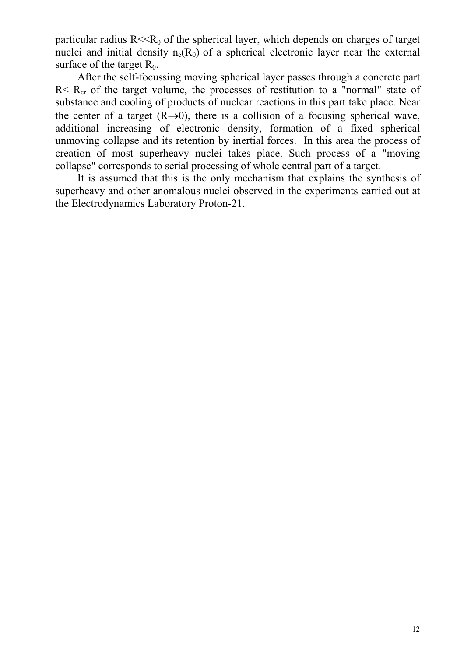particular radius  $R \ll R_0$  of the spherical layer, which depends on charges of target nuclei and initial density  $n_e(R_0)$  of a spherical electronic layer near the external surface of the target  $R_0$ .

After the self-focussing moving spherical layer passes through a concrete part  $R < R<sub>cr</sub>$  of the target volume, the processes of restitution to a "normal" state of substance and cooling of products of nuclear reactions in this part take place. Near the center of a target  $(R\rightarrow 0)$ , there is a collision of a focusing spherical wave, additional increasing of electronic density, formation of a fixed spherical unmoving collapse and its retention by inertial forces. In this area the process of creation of most superheavy nuclei takes place. Such process of a "moving collapse" corresponds to serial processing of whole central part of a target.

It is assumed that this is the only mechanism that explains the synthesis of superheavy and other anomalous nuclei observed in the experiments carried out at the Electrodynamics Laboratory Proton-21.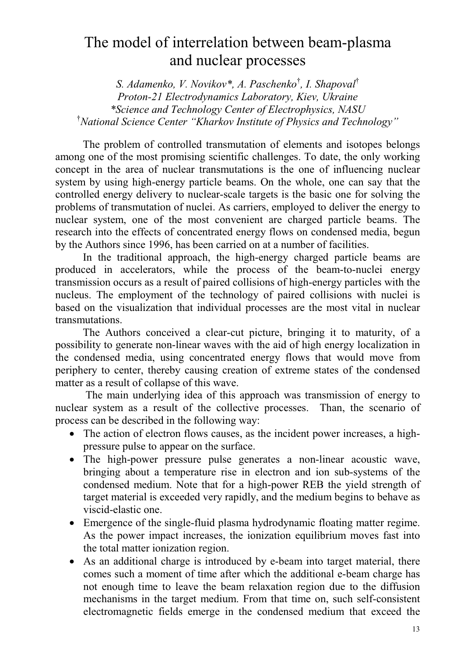## The model of interrelation between beam-plasma and nuclear processes

S. Adamenko, V. Novikov\*, A. Paschenko<sup>†</sup>, I. Shapoval<sup>†</sup> Proton-21 Electrodynamics Laboratory, Kiev, Ukraine \*Science and Technology Center of Electrophysics, NASU <sup>†</sup>National Science Center "Kharkov Institute of Physics and Technology"

The problem of controlled transmutation of elements and isotopes belongs among one of the most promising scientific challenges. To date, the only working concept in the area of nuclear transmutations is the one of influencing nuclear system by using high-energy particle beams. On the whole, one can say that the controlled energy delivery to nuclear-scale targets is the basic one for solving the problems of transmutation of nuclei. As carriers, employed to deliver the energy to nuclear system, one of the most convenient are charged particle beams. The research into the effects of concentrated energy flows on condensed media, begun by the Authors since 1996, has been carried on at a number of facilities.

In the traditional approach, the high-energy charged particle beams are produced in accelerators, while the process of the beam-to-nuclei energy transmission occurs as a result of paired collisions of high-energy particles with the nucleus. The employment of the technology of paired collisions with nuclei is based on the visualization that individual processes are the most vital in nuclear transmutations.

The Authors conceived a clear-cut picture, bringing it to maturity, of a possibility to generate non-linear waves with the aid of high energy localization in the condensed media, using concentrated energy flows that would move from periphery to center, thereby causing creation of extreme states of the condensed matter as a result of collapse of this wave.

 The main underlying idea of this approach was transmission of energy to nuclear system as a result of the collective processes. Than, the scenario of process can be described in the following way:

- The action of electron flows causes, as the incident power increases, a highpressure pulse to appear on the surface.
- The high-power pressure pulse generates a non-linear acoustic wave, bringing about a temperature rise in electron and ion sub-systems of the condensed medium. Note that for a high-power REB the yield strength of target material is exceeded very rapidly, and the medium begins to behave as viscid-elastic one.
- Emergence of the single-fluid plasma hydrodynamic floating matter regime. As the power impact increases, the ionization equilibrium moves fast into the total matter ionization region.
- As an additional charge is introduced by e-beam into target material, there comes such a moment of time after which the additional e-beam charge has not enough time to leave the beam relaxation region due to the diffusion mechanisms in the target medium. From that time on, such self-consistent electromagnetic fields emerge in the condensed medium that exceed the